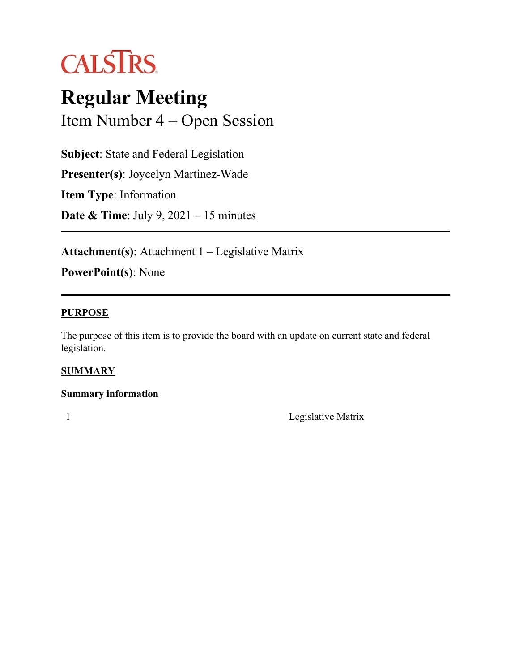

# **Regular Meeting** Item Number 4 – Open Session

**Subject**: State and Federal Legislation **Presenter(s)**: Joycelyn Martinez-Wade **Item Type**: Information

**Date & Time**: July 9, 2021 – 15 minutes

**Attachment(s)**: Attachment 1 – Legislative Matrix

**PowerPoint(s)**: None

#### **PURPOSE**

The purpose of this item is to provide the board with an update on current state and federal legislation.

### **SUMMARY**

### **Summary information**

1 Legislative Matrix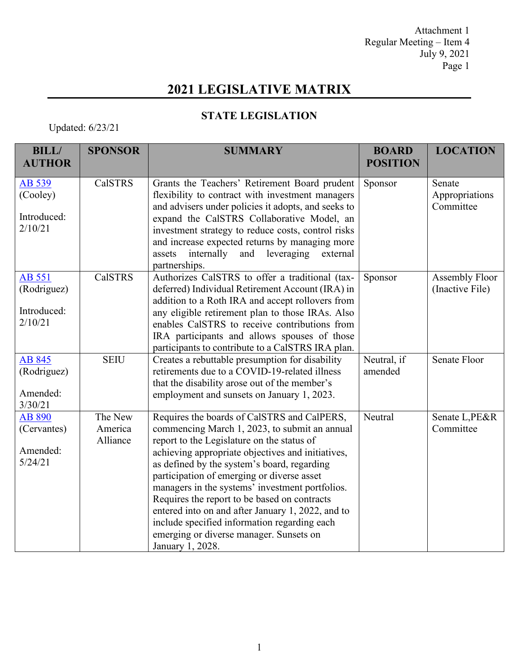Attachment 1 Regular Meeting – Item 4 July 9, 2021 Page 1

# **2021 LEGISLATIVE MATRIX**

### **STATE LEGISLATION**

## Updated: 6/23/21

| <b>BILL/</b><br><b>AUTHOR</b>                   | <b>SPONSOR</b>                 | <b>SUMMARY</b>                                                                                                                                                                                                                                                                                                                                                                                                                                                                                                                                                      | <b>BOARD</b><br><b>POSITION</b> | <b>LOCATION</b>                       |
|-------------------------------------------------|--------------------------------|---------------------------------------------------------------------------------------------------------------------------------------------------------------------------------------------------------------------------------------------------------------------------------------------------------------------------------------------------------------------------------------------------------------------------------------------------------------------------------------------------------------------------------------------------------------------|---------------------------------|---------------------------------------|
| AB 539<br>(Cooley)<br>Introduced:<br>2/10/21    | <b>CalSTRS</b>                 | Grants the Teachers' Retirement Board prudent<br>flexibility to contract with investment managers<br>and advisers under policies it adopts, and seeks to<br>expand the CalSTRS Collaborative Model, an<br>investment strategy to reduce costs, control risks<br>and increase expected returns by managing more<br>leveraging<br>internally<br>and<br>external<br>assets<br>partnerships.                                                                                                                                                                            | Sponsor                         | Senate<br>Appropriations<br>Committee |
| AB 551<br>(Rodriguez)<br>Introduced:<br>2/10/21 | <b>CalSTRS</b>                 | Authorizes CalSTRS to offer a traditional (tax-<br>deferred) Individual Retirement Account (IRA) in<br>addition to a Roth IRA and accept rollovers from<br>any eligible retirement plan to those IRAs. Also<br>enables CalSTRS to receive contributions from<br>IRA participants and allows spouses of those<br>participants to contribute to a CalSTRS IRA plan.                                                                                                                                                                                                   | Sponsor                         | Assembly Floor<br>(Inactive File)     |
| AB 845<br>(Rodriguez)<br>Amended:<br>3/30/21    | <b>SEIU</b>                    | Creates a rebuttable presumption for disability<br>retirements due to a COVID-19-related illness<br>that the disability arose out of the member's<br>employment and sunsets on January 1, 2023.                                                                                                                                                                                                                                                                                                                                                                     | Neutral, if<br>amended          | Senate Floor                          |
| AB 890<br>(Cervantes)<br>Amended:<br>5/24/21    | The New<br>America<br>Alliance | Requires the boards of CalSTRS and CalPERS,<br>commencing March 1, 2023, to submit an annual<br>report to the Legislature on the status of<br>achieving appropriate objectives and initiatives,<br>as defined by the system's board, regarding<br>participation of emerging or diverse asset<br>managers in the systems' investment portfolios.<br>Requires the report to be based on contracts<br>entered into on and after January 1, 2022, and to<br>include specified information regarding each<br>emerging or diverse manager. Sunsets on<br>January 1, 2028. | Neutral                         | Senate L, PE&R<br>Committee           |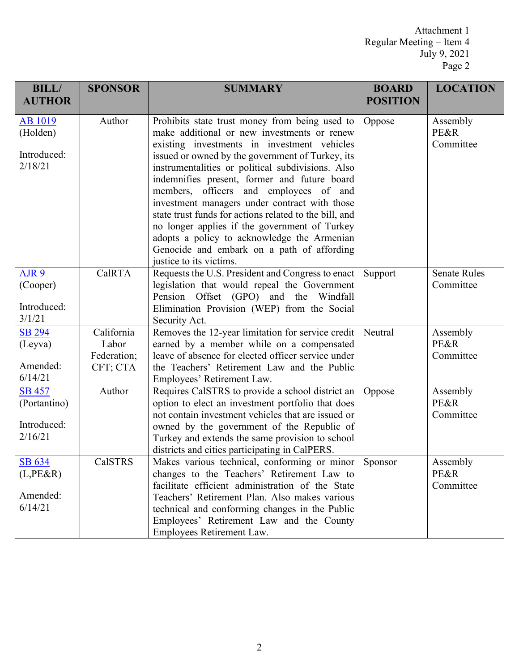Attachment 1 Regular Meeting – Item 4 July 9, 2021 Page 2

| <b>BILL/</b><br><b>AUTHOR</b>                                  | <b>SPONSOR</b> | <b>SUMMARY</b>                                                                                                                                                                                                                                                                                                                                                                                                                  | <b>BOARD</b><br><b>POSITION</b> | <b>LOCATION</b>               |
|----------------------------------------------------------------|----------------|---------------------------------------------------------------------------------------------------------------------------------------------------------------------------------------------------------------------------------------------------------------------------------------------------------------------------------------------------------------------------------------------------------------------------------|---------------------------------|-------------------------------|
|                                                                |                |                                                                                                                                                                                                                                                                                                                                                                                                                                 |                                 |                               |
| <b>AB</b> 1019                                                 | Author         | Prohibits state trust money from being used to                                                                                                                                                                                                                                                                                                                                                                                  | Oppose                          | Assembly                      |
| (Holden)                                                       |                | make additional or new investments or renew                                                                                                                                                                                                                                                                                                                                                                                     |                                 | <b>PE&amp;R</b>               |
|                                                                |                | existing investments in investment vehicles                                                                                                                                                                                                                                                                                                                                                                                     |                                 | Committee                     |
| Introduced:                                                    |                | issued or owned by the government of Turkey, its                                                                                                                                                                                                                                                                                                                                                                                |                                 |                               |
| 2/18/21                                                        |                | instrumentalities or political subdivisions. Also                                                                                                                                                                                                                                                                                                                                                                               |                                 |                               |
|                                                                |                | indemnifies present, former and future board                                                                                                                                                                                                                                                                                                                                                                                    |                                 |                               |
|                                                                |                | members, officers and employees of and                                                                                                                                                                                                                                                                                                                                                                                          |                                 |                               |
|                                                                |                | investment managers under contract with those                                                                                                                                                                                                                                                                                                                                                                                   |                                 |                               |
|                                                                |                | state trust funds for actions related to the bill, and                                                                                                                                                                                                                                                                                                                                                                          |                                 |                               |
|                                                                |                | no longer applies if the government of Turkey                                                                                                                                                                                                                                                                                                                                                                                   |                                 |                               |
|                                                                |                | adopts a policy to acknowledge the Armenian                                                                                                                                                                                                                                                                                                                                                                                     |                                 |                               |
|                                                                |                | Genocide and embark on a path of affording                                                                                                                                                                                                                                                                                                                                                                                      |                                 |                               |
|                                                                |                | justice to its victims.                                                                                                                                                                                                                                                                                                                                                                                                         |                                 |                               |
| AJR 9                                                          | CalRTA         | Requests the U.S. President and Congress to enact                                                                                                                                                                                                                                                                                                                                                                               | Support                         | <b>Senate Rules</b>           |
| (Cooper)                                                       |                | legislation that would repeal the Government                                                                                                                                                                                                                                                                                                                                                                                    |                                 | Committee                     |
| Introduced:                                                    |                | Pension Offset (GPO) and the Windfall                                                                                                                                                                                                                                                                                                                                                                                           |                                 |                               |
|                                                                |                | Elimination Provision (WEP) from the Social                                                                                                                                                                                                                                                                                                                                                                                     |                                 |                               |
| 3/1/21                                                         |                | Security Act.                                                                                                                                                                                                                                                                                                                                                                                                                   |                                 |                               |
| <b>SB 294</b>                                                  | California     | Removes the 12-year limitation for service credit                                                                                                                                                                                                                                                                                                                                                                               | Neutral                         | Assembly                      |
| (Leyva)                                                        | Labor          | earned by a member while on a compensated                                                                                                                                                                                                                                                                                                                                                                                       |                                 | PE&R                          |
|                                                                | Federation;    | leave of absence for elected officer service under                                                                                                                                                                                                                                                                                                                                                                              |                                 | Committee                     |
| Amended:<br>6/14/21                                            | CFT; CTA       | the Teachers' Retirement Law and the Public                                                                                                                                                                                                                                                                                                                                                                                     |                                 |                               |
|                                                                |                | Employees' Retirement Law.                                                                                                                                                                                                                                                                                                                                                                                                      |                                 |                               |
| <b>SB 457</b>                                                  | Author         | Requires CalSTRS to provide a school district an                                                                                                                                                                                                                                                                                                                                                                                | Oppose                          | Assembly                      |
| (Portantino)                                                   |                | option to elect an investment portfolio that does                                                                                                                                                                                                                                                                                                                                                                               |                                 | PE&R                          |
| Introduced:                                                    |                | not contain investment vehicles that are issued or                                                                                                                                                                                                                                                                                                                                                                              |                                 | Committee                     |
|                                                                |                | owned by the government of the Republic of                                                                                                                                                                                                                                                                                                                                                                                      |                                 |                               |
|                                                                |                |                                                                                                                                                                                                                                                                                                                                                                                                                                 |                                 |                               |
|                                                                |                |                                                                                                                                                                                                                                                                                                                                                                                                                                 |                                 |                               |
|                                                                |                |                                                                                                                                                                                                                                                                                                                                                                                                                                 |                                 |                               |
|                                                                |                |                                                                                                                                                                                                                                                                                                                                                                                                                                 |                                 |                               |
|                                                                |                |                                                                                                                                                                                                                                                                                                                                                                                                                                 |                                 |                               |
|                                                                |                |                                                                                                                                                                                                                                                                                                                                                                                                                                 |                                 |                               |
|                                                                |                |                                                                                                                                                                                                                                                                                                                                                                                                                                 |                                 |                               |
|                                                                |                |                                                                                                                                                                                                                                                                                                                                                                                                                                 |                                 |                               |
| 2/16/21<br><u>SB 634</u><br>$(L,PE\&R)$<br>Amended:<br>6/14/21 | <b>CalSTRS</b> | Turkey and extends the same provision to school<br>districts and cities participating in CalPERS.<br>Makes various technical, conforming or minor<br>changes to the Teachers' Retirement Law to<br>facilitate efficient administration of the State<br>Teachers' Retirement Plan. Also makes various<br>technical and conforming changes in the Public<br>Employees' Retirement Law and the County<br>Employees Retirement Law. | Sponsor                         | Assembly<br>PE&R<br>Committee |